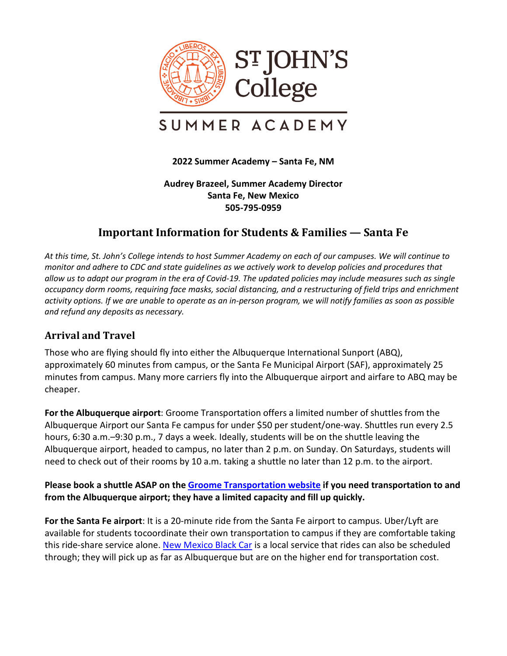

# SUMMER ACADEMY

#### **2022 Summer Academy – Santa Fe, NM**

#### **Audrey Brazeel, Summer Academy Director Santa Fe, New Mexico 505-795-0959**

# **Important Information for Students & Families — Santa Fe**

*At this time, St. John's College intends to host Summer Academy on each of our campuses. We will continue to monitor and adhere to CDC and state guidelines as we actively work to develop policies and procedures that allow us to adapt our program in the era of Covid-19. The updated policies may include measures such as single occupancy dorm rooms, requiring face masks, social distancing, and a restructuring of field trips and enrichment activity options. If we are unable to operate as an in-person program, we will notify families as soon as possible and refund any deposits as necessary.*

## **Arrival and Travel**

Those who are flying should fly into either the Albuquerque International Sunport (ABQ), approximately 60 minutes from campus, or the Santa Fe Municipal Airport (SAF), approximately 25 minutes from campus. Many more carriers fly into the Albuquerque airport and airfare to ABQ may be cheaper.

**For the Albuquerque airport**: Groome Transportation offers a limited number of shuttles from the Albuquerque Airport our Santa Fe campus for under \$50 per student/one-way. Shuttles run every 2.5 hours, 6:30 a.m.–9:30 p.m., 7 days a week. Ideally, students will be on the shuttle leaving the Albuquerque airport, headed to campus, no later than 2 p.m. on Sunday. On Saturdays, students will need to check out of their rooms by 10 a.m. taking a shuttle no later than 12 p.m. to the airport.

#### **Please book a shuttle ASAP on the [Groome Transportation website](https://groometransportation.com/santa-fe/) if you need transportation to and from the Albuquerque airport; they have a limited capacity and fill up quickly.**

**For the Santa Fe airport**: It is a 20-minute ride from the Santa Fe airport to campus. Uber/Lyft are available for students tocoordinate their own transportation to campus if they are comfortable taking this ride-share service alone[. New Mexico](https://new-mexico-black-car-service.business.site/) [Black Car](https://new-mexico-black-car-service.business.site/) is a local service that rides can also be scheduled through; they will pick up as far as Albuquerque but are on the higher end for transportation cost.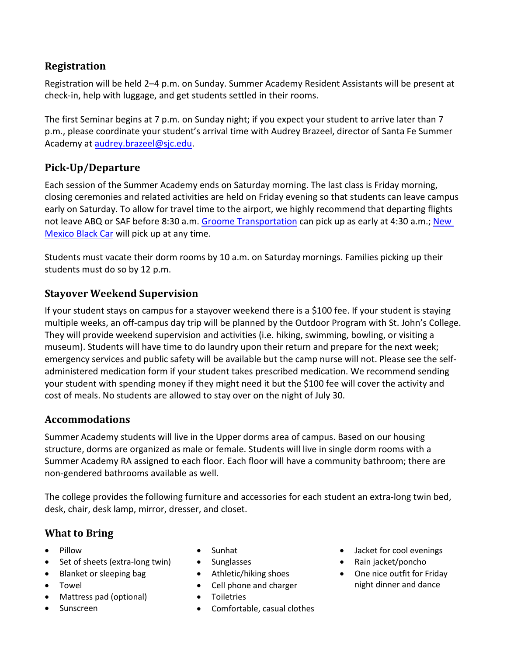# **Registration**

Registration will be held 2–4 p.m. on Sunday. Summer Academy Resident Assistants will be present at check-in, help with luggage, and get students settled in their rooms.

The first Seminar begins at 7 p.m. on Sunday night; if you expect your student to arrive later than 7 p.m., please coordinate your student's arrival time with Audrey Brazeel, director of Santa Fe Summer Academy at [audrey.brazeel@sjc.edu.](mailto:audrey.brazeel@sjc.edu)

# **Pick-Up/Departure**

Each session of the Summer Academy ends on Saturday morning. The last class is Friday morning, closing ceremonies and related activities are held on Friday evening so that students can leave campus early on Saturday. To allow for travel time to the airport, we highly recommend that departing flights not leave ABQ or SAF before 8:30 a.m. Groome [Transportation](https://groometransportation.com/santa-fe/) can pick up as early at 4:30 a.m.; [New](https://new-mexico-black-car-service.business.site/)  [Mexico Black Car](https://new-mexico-black-car-service.business.site/) will pick up at any time.

Students must vacate their dorm rooms by 10 a.m. on Saturday mornings. Families picking up their students must do so by 12 p.m.

# **Stayover Weekend Supervision**

If your student stays on campus for a stayover weekend there is a \$100 fee. If your student is staying multiple weeks, an off-campus day trip will be planned by the Outdoor Program with St. John's College. They will provide weekend supervision and activities (i.e. hiking, swimming, bowling, or visiting a museum). Students will have time to do laundry upon their return and prepare for the next week; emergency services and public safety will be available but the camp nurse will not. Please see the selfadministered medication form if your student takes prescribed medication. We recommend sending your student with spending money if they might need it but the \$100 fee will cover the activity and cost of meals. No students are allowed to stay over on the night of July 30.

## **Accommodations**

Summer Academy students will live in the Upper dorms area of campus. Based on our housing structure, dorms are organized as male or female. Students will live in single dorm rooms with a Summer Academy RA assigned to each floor. Each floor will have a community bathroom; there are non-gendered bathrooms available as well.

The college provides the following furniture and accessories for each student an extra-long twin bed, desk, chair, desk lamp, mirror, dresser, and closet.

# **What to Bring**

- Pillow
- Set of sheets (extra-long twin)
- Blanket or sleeping bag
- Towel
- Mattress pad (optional)
- Sunscreen
- Sunhat
- Sunglasses
- Athletic/hiking shoes
- Cell phone and charger
- Toiletries
- Comfortable, casual clothes
- Jacket for cool evenings
- Rain jacket/poncho
- One nice outfit for Friday night dinner and dance